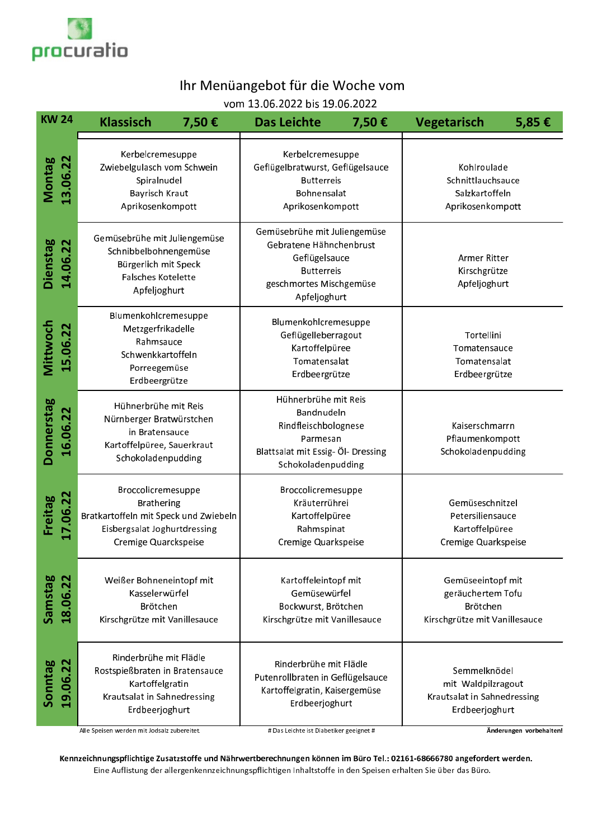

## Ihr Menüangebot für die Woche vom

vom 13.06.2022 bis 19.06.2022

| <b>KW 24</b>                  | <b>Klassisch</b>                                                                                                                         | <b>Das Leichte</b><br>7,50€                                                                                                              | <b>Vegetarisch</b><br>7,50€ | 5,85€                                                                                      |
|-------------------------------|------------------------------------------------------------------------------------------------------------------------------------------|------------------------------------------------------------------------------------------------------------------------------------------|-----------------------------|--------------------------------------------------------------------------------------------|
| <b>Montag</b><br>13.06.22     | Kerbelcremesuppe<br>Zwiebelgulasch vom Schwein<br>Spiralnudel<br><b>Bayrisch Kraut</b><br>Aprikosenkompott                               | Kerbelcremesuppe<br>Geflügelbratwurst, Geflügelsauce<br><b>Butterreis</b><br>Bohnensalat<br>Aprikosenkompott                             |                             | Kohlroulade<br>Schnittlauchsauce<br>Salzkartoffeln<br>Aprikosenkompott                     |
| Dienstag<br>14.06.22          | Gemüsebrühe mit Juliengemüse<br>Schnibbelbohnengemüse<br>Bürgerlich mit Speck<br>Falsches Kotelette<br>Apfeljoghurt                      | Gemüsebrühe mit Juliengemüse<br>Gebratene Hähnchenbrust<br>Geflügelsauce<br><b>Butterreis</b><br>geschmortes Mischgemüse<br>Apfeljoghurt |                             | Armer Ritter<br>Kirschgrütze<br>Apfeljoghurt                                               |
| Mittwoch<br>15.06.22          | Blumenkohlcremesuppe<br>Metzgerfrikadelle<br>Rahmsauce<br>Schwenkkartoffeln<br>Porreegemüse<br>Erdbeergrütze                             | Blumenkohlcremesuppe<br>Geflügelleberragout<br>Kartoffelpüree<br>Tomatensalat<br>Erdbeergrütze                                           |                             | Tortellini<br>Tomatensauce<br>Tomatensalat<br>Erdbeergrütze                                |
| <b>Donnerstag</b><br>16.06.22 | Hühnerbrühe mit Reis<br>Nürnberger Bratwürstchen<br>in Bratensauce<br>Kartoffelpüree, Sauerkraut<br>Schokoladenpudding                   | Hühnerbrühe mit Reis<br>Bandnudeln<br>Rindfleischbolognese<br>Parmesan<br>Blattsalat mit Essig- Öl- Dressing<br>Schokoladenpudding       |                             | Kaiserschmarrn<br>Pflaumenkompott<br>Schokoladenpudding                                    |
| Freitag<br>17.06.22           | Broccolicremesuppe<br><b>Brathering</b><br>Bratkartoffeln mit Speck und Zwiebeln<br>Eisbergsalat Joghurtdressing<br>Cremige Quarckspeise | Broccolicremesuppe<br>Kräuterrührei<br>Kartoffelpüree<br>Rahmspinat<br>Cremige Quarkspeise                                               |                             | Gemüseschnitzel<br>Petersiliensauce<br>Kartoffelpüree<br>Cremige Quarkspeise               |
| Samstag<br>18.06.22           | Weißer Bohneneintopf mit<br>Kasselerwürfel<br>Brötchen<br>Kirschgrütze mit Vanillesauce                                                  | Kartoffeleintopf mit<br>Gemüsewürfel<br>Bockwurst, Brötchen<br>Kirschgrütze mit Vanillesauce                                             |                             | Gemüseeintopf mit<br>geräuchertem Tofu<br><b>Brötchen</b><br>Kirschgrütze mit Vanillesauce |
| 19.06.22<br>Sonntag           | Rinderbrühe mit Flädle<br>Rostspießbraten in Bratensauce<br>Kartoffelgratin<br>Krautsalat in Sahnedressing<br>Erdbeerjoghurt             | Rinderbrühe mit Flädle<br>Putenrollbraten in Geflügelsauce<br>Kartoffelgratin, Kaisergemüse<br>Erdbeerjoghurt                            |                             | Semmelknödel<br>mit Waldpilzragout<br>Krautsalat in Sahnedressing<br>Erdbeerjoghurt        |

.<br>Alle Speisen werden mit Jodsalz zubereitet.

# Das Leichte ist Diabetiker geeignet #

Änderungen vorbehalten!

Kennzeichnungspflichtige Zusatzstoffe und Nährwertberechnungen können im Büro Tel.: 02161-68666780 angefordert werden. Eine Auflistung der allergenkennzeichnungspflichtigen Inhaltstoffe in den Speisen erhalten Sie über das Büro.